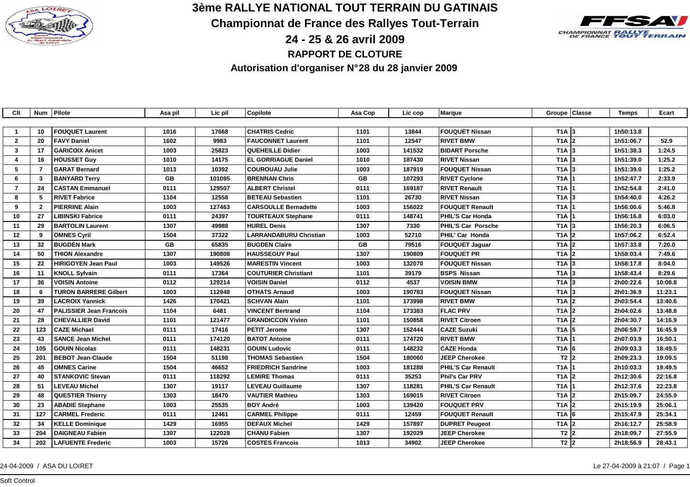

**3ème RALLYE NATIONAL TOUT TERRAIN DU GATINAIS**

**Championnat de France des Rallyes Tout-Terrain**

**CHAMPIONNAT RALLYE**<br>DE FRANCE **TOUT TERRAIN** 

**24 - 25 & 26 avril 2009**

**RAPPORT DE CLOTURE**

**Autorisation d'organiser N° 28 du 28 janvier 2009**

| Clt                     |                         | Num Pilote                     | Asa pil | Lic pil | Copilote                      | Asa Cop   | Lic cop | Marque                    | Groupe Classe         | <b>Temps</b> | Ecart   |
|-------------------------|-------------------------|--------------------------------|---------|---------|-------------------------------|-----------|---------|---------------------------|-----------------------|--------------|---------|
|                         |                         |                                |         |         |                               |           |         |                           |                       |              |         |
| $\mathbf{1}$            | 10                      | <b>FOUQUET Laurent</b>         | 1016    | 17668   | <b>CHATRIS Cedric</b>         | 1101      | 13844   | <b>FOUQUET Nissan</b>     | $T1A$ 3               | 1h50:13.8    |         |
| $\overline{2}$          | 20                      | <b>FAVY Daniel</b>             | 1602    | 9983    | <b>FAUCONNET Laurent</b>      | 1101      | 12547   | <b>RIVET BMW</b>          | $TA$ 2                | 1h51:06.7    | 52.9    |
| $\mathbf{3}$            | 17                      | <b>GARICOIX Anicet</b>         | 1003    | 25823   | <b>QUEHEILLE Didier</b>       | 1003      | 141532  | <b>BIDART Porsche</b>     | $T1A$ 3               | 1h51:38.3    | 1:24.5  |
| $\overline{\mathbf{4}}$ | 16                      | <b>HOUSSET Guy</b>             | 1010    | 14175   | <b>EL GORRIAGUE Daniel</b>    | 1010      | 187430  | <b>RIVET Nissan</b>       | $T1A$ 3               | 1h51:39.0    | 1:25.2  |
| 5                       | $\overline{7}$          | <b>GARAT Bernard</b>           | 1013    | 10392   | <b>COUROUAU Julie</b>         | 1003      | 187919  | <b>FOUQUET Nissan</b>     | $TA$ 3                | 1h51:39.0    | 1:25.2  |
| 6                       | $\overline{\mathbf{3}}$ | <b>BANYARD Terry</b>           | GB      | 101095  | <b>BRENNAN Chris</b>          | <b>GB</b> | 107293  | <b>RIVET Cyclone</b>      | $TA$  1               | 1h52:47.7    | 2:33.9  |
| $\overline{7}$          | 24                      | <b>CASTAN Emmanuel</b>         | 0111    | 129507  | <b>ALBERT Christel</b>        | 0111      | 169187  | <b>RIVET Renault</b>      | T1A                   | 1h52:54.8    | 2:41.0  |
| 8                       | 5                       | <b>RIVET Fabrice</b>           | 1104    | 12558   | <b>BETEAU Sebastien</b>       | 1101      | 26730   | <b>RIVET Nissan</b>       | $TA$ 3                | 1h54:40.0    | 4:26.2  |
| 9                       | $\mathbf{2}$            | <b>PIERRINE Alain</b>          | 1003    | 127463  | <b>CARSOULLE Bernadette</b>   | 1003      | 156022  | <b>FOUQUET Renault</b>    | T1A                   | 1h56:00.6    | 5:46.8  |
| 10                      | 27                      | <b>LIBINSKI Fabrice</b>        | 0111    | 24397   | <b>TOURTEAUX Stephane</b>     | 0111      | 148741  | <b>PHIL'S Car Honda</b>   | T1A                   | 1h56:16.8    | 6:03.0  |
| 11                      | 29                      | <b>BARTOLIN Laurent</b>        | 1307    | 49988   | <b>HUREL Denis</b>            | 1307      | 7330    | PHIL'S Car Porsche        | $TA$ 3                | 1h56:20.3    | 6:06.5  |
| 12                      | 9                       | <b>OMNES Cyril</b>             | 1504    | 37322   | <b>LARRANDABURU Christian</b> | 1003      | 52710   | PHIL' Car Honda           | $T1A$ 2               | 1h57:06.2    | 6:52.4  |
| 13                      | 32                      | <b>BUGDEN Mark</b>             | GB      | 65835   | <b>BUGDEN Claire</b>          | <b>GB</b> | 79516   | <b>FOUQUET Jaquar</b>     | T <sub>1</sub> A $ 2$ | 1h57:33.8    | 7:20.0  |
| 14                      | 50                      | THION Alexandre                | 1307    | 190808  | <b>HAUSSEGUY Paul</b>         | 1307      | 190809  | <b>FOUQUET PR</b>         | $TA$ 2                | 1h58:03.4    | 7:49.6  |
| 15                      | 22                      | <b>HIRIGOYEN Jean Paul</b>     | 1003    | 149526  | <b>MARESTIN Vincent</b>       | 1003      | 132070  | <b>FOUQUET Nissan</b>     | $TA$ 3                | 1h58:17.8    | 8:04.0  |
| 16                      | 11                      | <b>KNOLL Sylvain</b>           | 0111    | 17364   | <b>COUTURIER Christiant</b>   | 1101      | 39179   | <b>BSPS Nissan</b>        | $T1A$ 3               | 1h58:43.4    | 8:29.6  |
| 17                      | 36                      | <b>VOISIN Antoine</b>          | 0112    | 129214  | <b>VOISIN Daniel</b>          | 0112      | 4537    | <b>VOISIN BMW</b>         | $TA$ 3                | 2h00:22.6    | 10:08.8 |
| 18                      | 6                       | <b>TURON BARRERE Gilbert</b>   | 1003    | 112948  | <b>OTHATS Arnaud</b>          | 1003      | 190783  | <b>FOUQUET Nissan</b>     | $T1A$ 3               | 2h01:36.9    | 11:23.1 |
| 19                      | 39                      | <b>LACROIX Yannick</b>         | 1426    | 170421  | <b>SCHVAN Alain</b>           | 1101      | 173998  | <b>RIVET BMW</b>          | $TA$ 2                | 2h03:54.4    | 13:40.6 |
| 20                      | 47                      | <b>PALISSIER Jean Francois</b> | 1104    | 6481    | <b>VINCENT Bertrand</b>       | 1104      | 173383  | <b>FLAC PRV</b>           | $TA$ 2                | 2h04:02.6    | 13:48.8 |
| 21                      | 28                      | <b>CHEVALLIER David</b>        | 1101    | 121477  | <b>GRANDICCON Vivien</b>      | 1101      | 150858  | <b>RIVET Citroen</b>      | $TA$ 2                | 2h04:30.7    | 14:16.9 |
| 22                      | 123                     | <b>CAZE Michael</b>            | 0111    | 17416   | <b>PETIT Jerome</b>           | 1307      | 152444  | <b>CAZE Suzuki</b>        | T <sub>1</sub> A $5$  | 2h06:59.7    | 16:45.9 |
| 23                      | 43                      | <b>SANCE Jean Michel</b>       | 0111    | 174120  | <b>BATOT Antoine</b>          | 0111      | 174720  | <b>RIVET BMW</b>          | T <sub>1</sub> A 1    | 2h07:03.9    | 16:50.1 |
| 24                      | 105                     | <b>GOUIN Nicolas</b>           | 0111    | 148231  | <b>GOUIN Ludovic</b>          | 0111      | 148232  | <b>CAZE Honda</b>         | $T1A$ 6               | 2h09:03.3    | 18:49.5 |
| 25                      | 201                     | <b>BEBOT Jean-Claude</b>       | 1504    | 51198   | <b>THOMAS Sebastien</b>       | 1504      | 180060  | <b>JEEP Cherokee</b>      | $T2$ 2                | 2h09:23.3    | 19:09.5 |
| 26                      | 45                      | <b>OMNES Carine</b>            | 1504    | 46652   | <b>FRIEDRICH Sandrine</b>     | 1003      | 181288  | <b>PHIL'S Car Renault</b> | T1A                   | 2h10:03.3    | 19:49.5 |
| 27                      | 40                      | <b>STANKOVIC Stevan</b>        | 0111    | 118292  | <b>LEMIRE Thomas</b>          | 0111      | 35253   | Phil's Car PRV            | $T1A$ 2               | 2h12:30.6    | 22:16.8 |
| 28                      | 51                      | <b>LEVEAU Michel</b>           | 1307    | 19117   | <b>LEVEAU Guillaume</b>       | 1307      | 118281  | <b>PHIL'S Car Renault</b> | $TA$ 1                | 2h12:37.6    | 22:23.8 |
| 29                      | 48                      | <b>QUESTIER Thierry</b>        | 1303    | 18470   | <b>VAUTIER Mathieu</b>        | 1303      | 169015  | <b>RIVET Citroen</b>      | $T1A$ 2               | 2h15:09.7    | 24:55.9 |
| 30                      | 23                      | <b>ABADIE Stephane</b>         | 1003    | 25535   | <b>BOY André</b>              | 1003      | 139420  | <b>FOUQUET PRV</b>        | $T1A$ 2               | 2h15:19.9    | 25:06.1 |
| 31                      | 127                     | <b>CARMEL Frederic</b>         | 0111    | 12461   | <b>CARMEL Philippe</b>        | 0111      | 12459   | <b>FOUQUET Renault</b>    | T <sub>1</sub> A 6    | 2h15:47.9    | 25:34.1 |
| 32                      | 34                      | <b>KELLE Dominique</b>         | 1429    | 16955   | <b>DEFAUX Michel</b>          | 1429      | 157897  | <b>DUPRET Peugeot</b>     | T <sub>1</sub> A $ 2$ | 2h16:12.7    | 25:58.9 |
| 33                      | 204                     | <b>DAIGNEAU Fabien</b>         | 1307    | 122028  | <b>CHANU Fabien</b>           | 1307      | 192029  | <b>JEEP Cherokee</b>      | T2 2                  | 2h18:09.7    | 27:55.9 |
| 34                      | 202                     | <b>LAFUENTE Frederic</b>       | 1003    | 15726   | <b>COSTES Francois</b>        | 1013      | 34902   | <b>JEEP Cherokee</b>      | T2 2                  | 2h18:56.9    | 28:43.1 |
|                         |                         |                                |         |         |                               |           |         |                           |                       |              |         |

## 24-04-2009 / ASA DU LOIRET